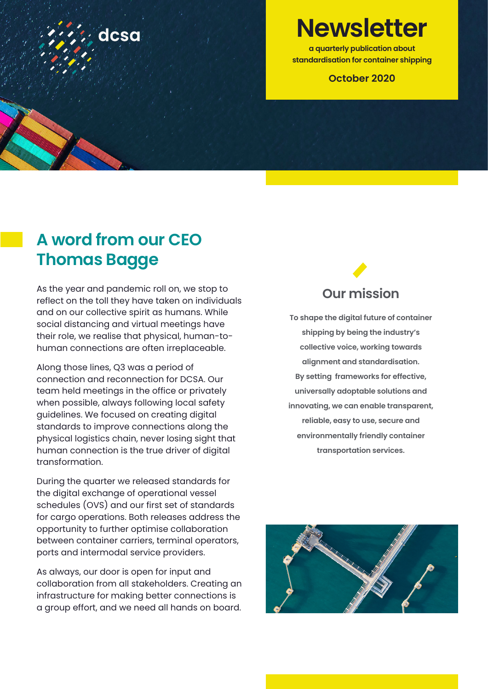

**Newsletter**

**a quarterly publication about standardisation for container shipping**

### **October 2020**

### **A word from our CEO Thomas Bagge**

As the year and pandemic roll on, we stop to reflect on the toll they have taken on individuals and on our collective spirit as humans. While social distancing and virtual meetings have their role, we realise that physical, human-tohuman connections are often irreplaceable.

Along those lines, Q3 was a period of connection and reconnection for DCSA. Our team held meetings in the office or privately when possible, always following local safety guidelines. We focused on creating digital standards to improve connections along the physical logistics chain, never losing sight that human connection is the true driver of digital transformation.

During the quarter we released standards for the digital exchange of operational vessel schedules (OVS) and our first set of standards for cargo operations. Both releases address the opportunity to further optimise collaboration between container carriers, terminal operators, ports and intermodal service providers.

As always, our door is open for input and collaboration from all stakeholders. Creating an infrastructure for making better connections is a group effort, and we need all hands on board.

### **Our mission**

**To shape the digital future of container shipping by being the industry's collective voice, working towards alignment and standardisation. By setting frameworks for effective, universally adoptable solutions and innovating, we can enable transparent, reliable, easy to use, secure and environmentally friendly container transportation services.**

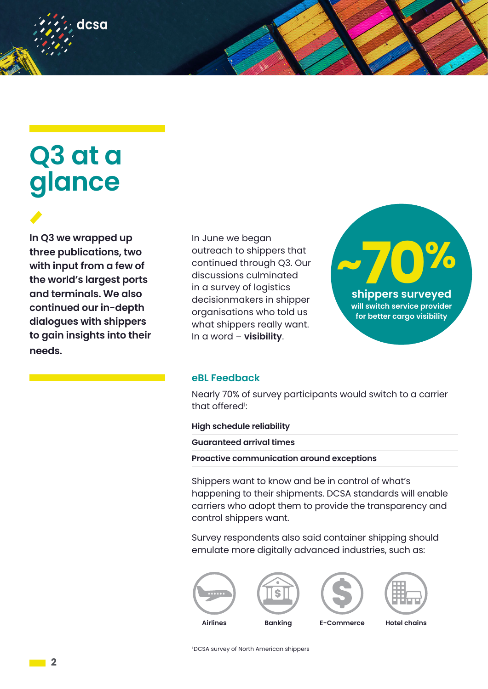# **Q3 at a glance**

dcsa

**In Q3 we wrapped up three publications, two with input from a few of the world's largest ports and terminals. We also continued our in-depth dialogues with shippers to gain insights into their needs.** 

In June we began outreach to shippers that continued through Q3. Our discussions culminated in a survey of logistics decisionmakers in shipper organisations who told us what shippers really want. In a word – **visibility**.



#### **eBL Feedback**

Nearly 70% of survey participants would switch to a carrier that offered<sup>1</sup>:

**High schedule reliability**

**Guaranteed arrival times**

**Proactive communication around exceptions**

Shippers want to know and be in control of what's happening to their shipments. DCSA standards will enable carriers who adopt them to provide the transparency and control shippers want.

Survey respondents also said container shipping should emulate more digitally advanced industries, such as:





1 DCSA survey of North American shippers

**2**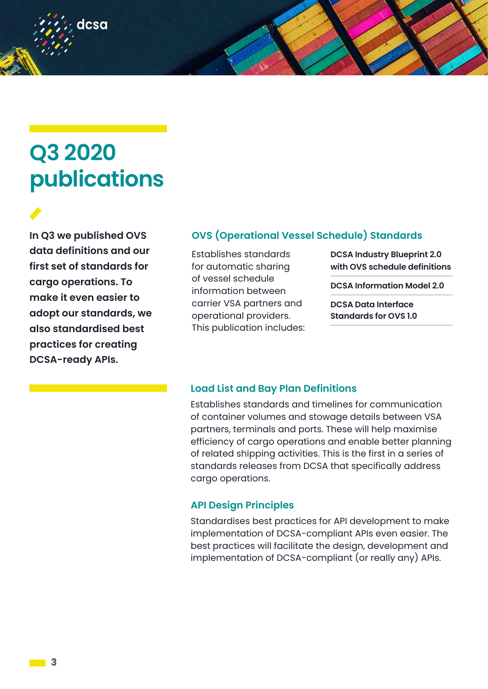## **Q3 2020 publications**

dcsa

**In Q3 we published OVS data definitions and our first set of standards for cargo operations. To make it even easier to adopt our standards, we also standardised best practices for creating DCSA-ready APIs.** 

### **OVS (Operational Vessel Schedule) Standards**

Establishes standards for automatic sharing of vessel schedule information between carrier VSA partners and operational providers. This publication includes:

**DCSA Industry Blueprint 2.0 with OVS schedule definitions** 

**DCSA Information Model 2.0**

**DCSA Data Interface Standards for OVS 1.0** 

### **Load List and Bay Plan Definitions**

Establishes standards and timelines for communication of container volumes and stowage details between VSA partners, terminals and ports. These will help maximise efficiency of cargo operations and enable better planning of related shipping activities. This is the first in a series of standards releases from DCSA that specifically address cargo operations.

### **API Design Principles**

Standardises best practices for API development to make implementation of DCSA-compliant APIs even easier. The best practices will facilitate the design, development and implementation of DCSA-compliant (or really any) APIs.

**3**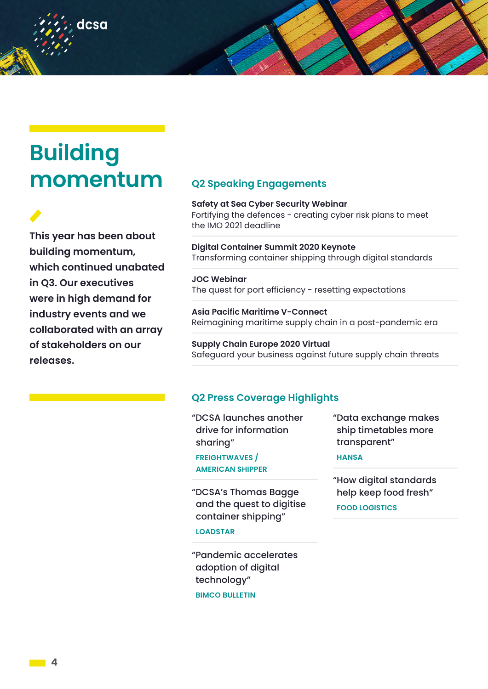## **Building momentum**

dcsa

**This year has been about building momentum, which continued unabated in Q3. Our executives were in high demand for industry events and we collaborated with an array of stakeholders on our releases.** 

### **Q2 Speaking Engagements**

**Safety at Sea Cyber Security Webinar** Fortifying the defences - creating cyber risk plans to meet the IMO 2021 deadline

**Digital Container Summit 2020 Keynote** Transforming container shipping through digital standards

**JOC Webinar** The quest for port efficiency - resetting expectations

**Asia Pacific Maritime V-Connect** Reimagining maritime supply chain in a post-pandemic era

**Supply Chain Europe 2020 Virtual** Safeguard your business against future supply chain threats

### **Q2 Press Coverage Highlights**

"DCSA launches another drive for information sharing"

**FREIGHTWAVES / AMERICAN SHIPPER**

"DCSA's Thomas Bagge and the quest to digitise container shipping"

**LOADSTAR**

"Pandemic accelerates adoption of digital technology"

**BIMCO BULLETIN**

"Data exchange makes ship timetables more transparent"

#### **HANSA**

"How digital standards help keep food fresh" **FOOD LOGISTICS**